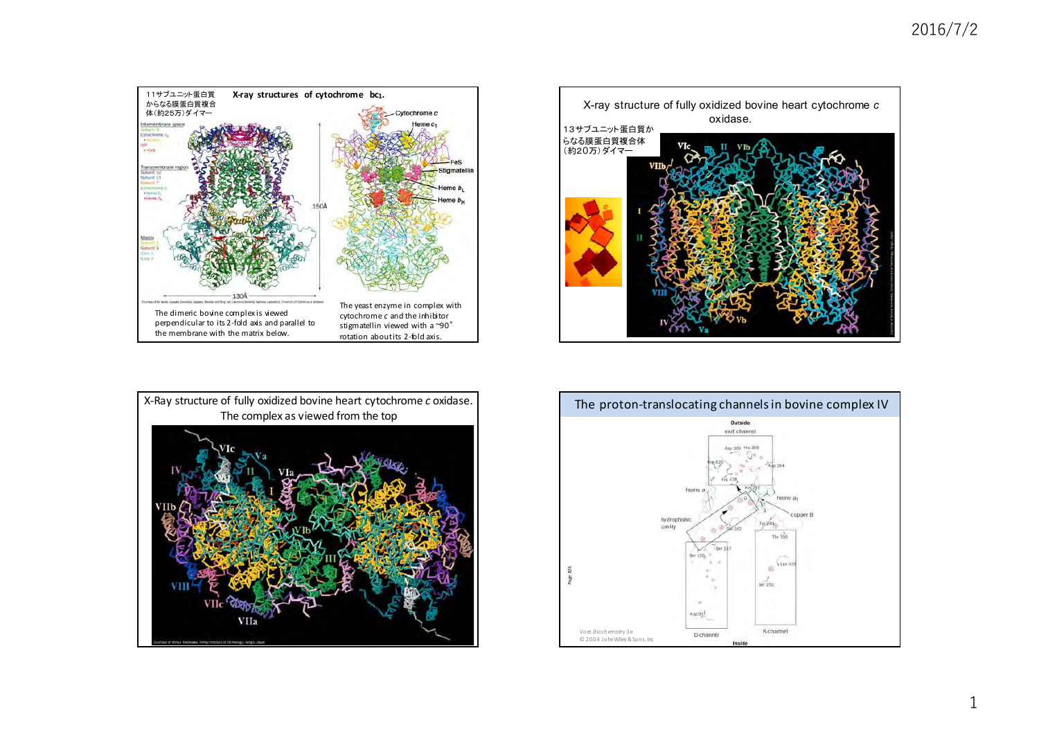





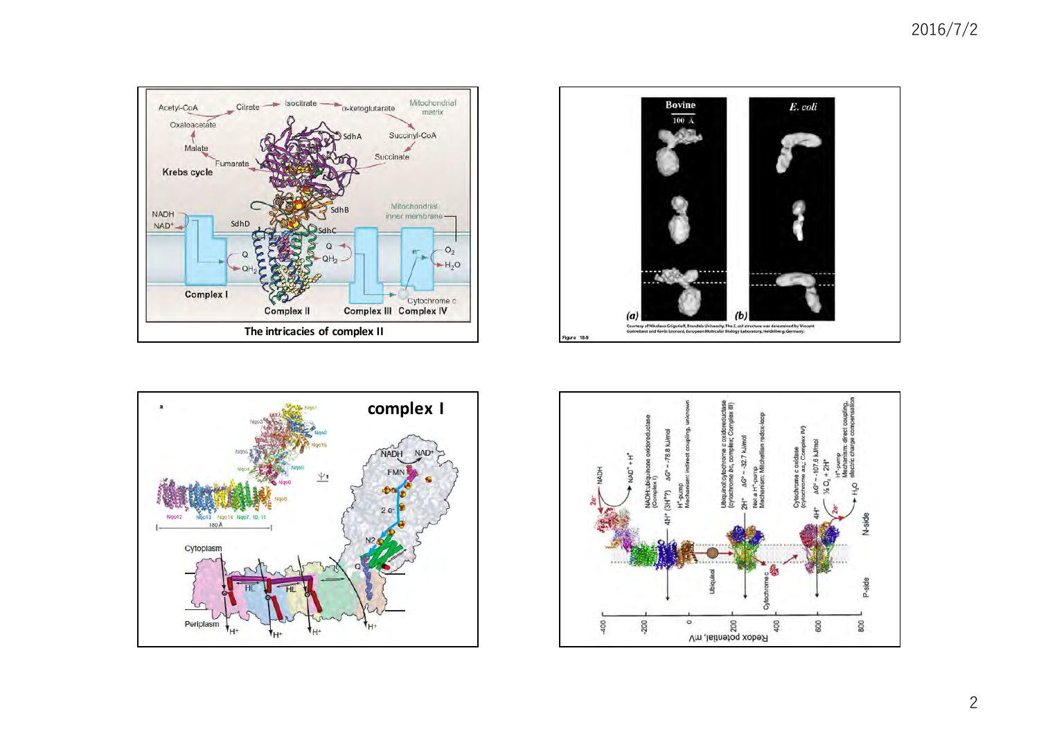





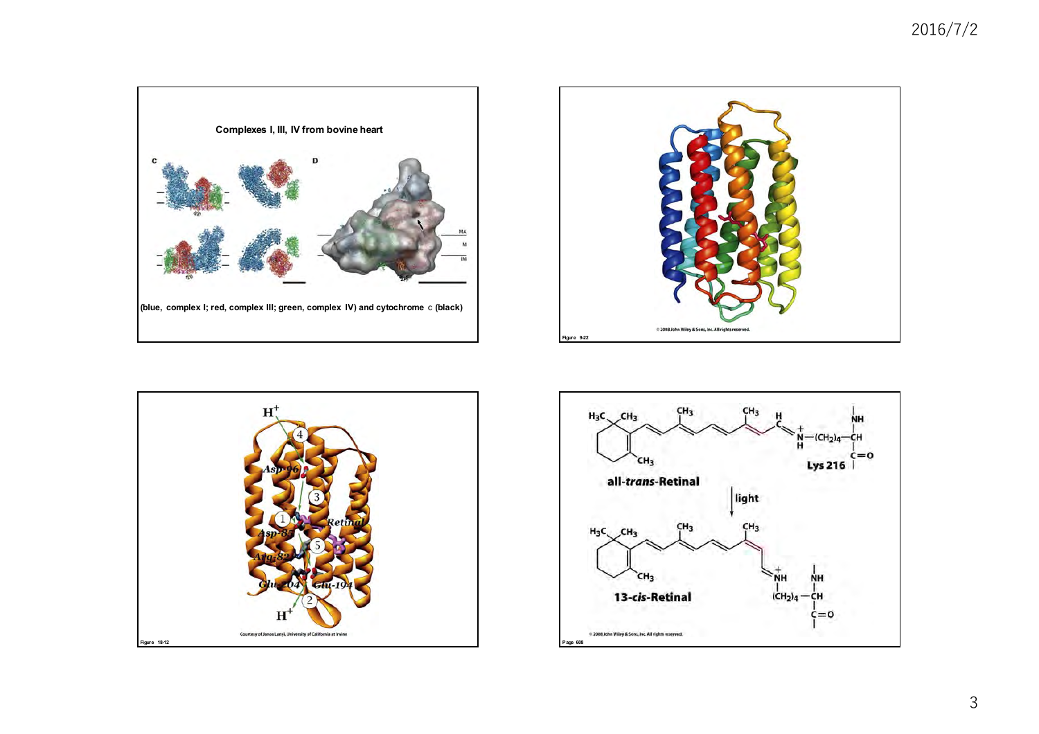





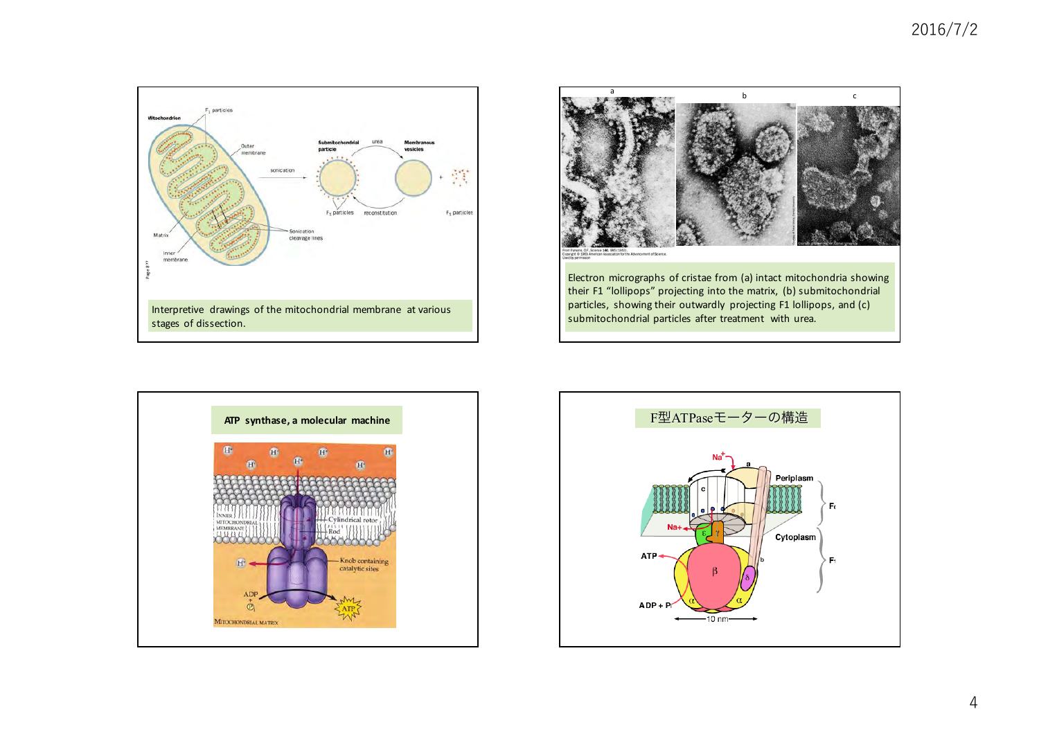





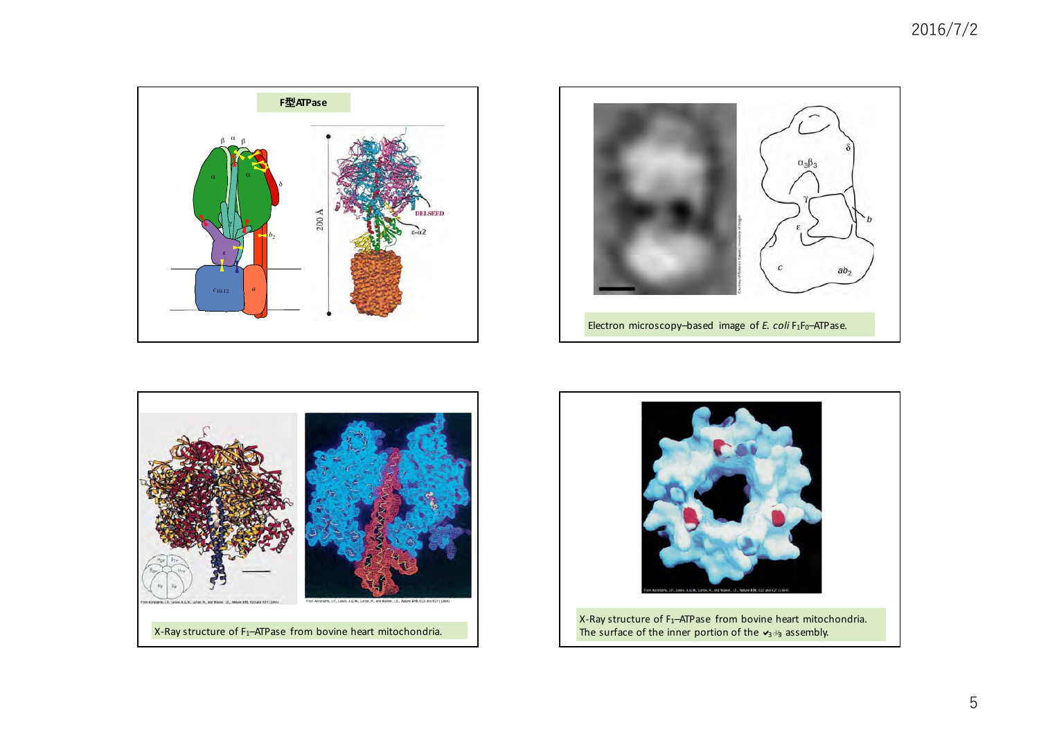





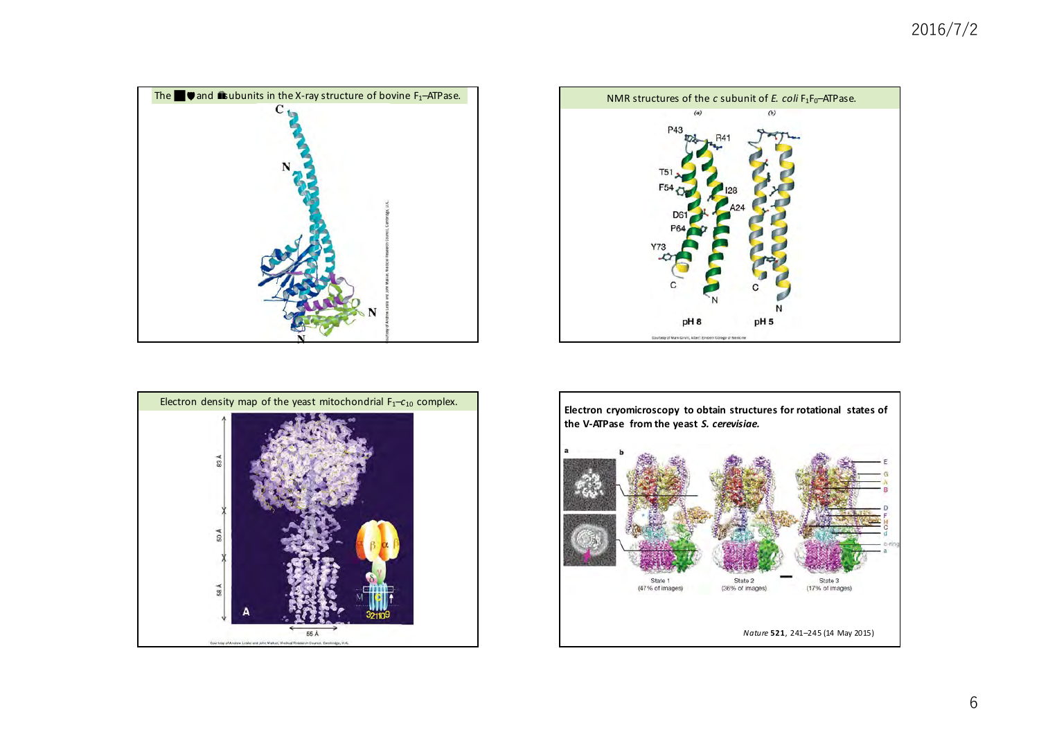## 2016/7/2







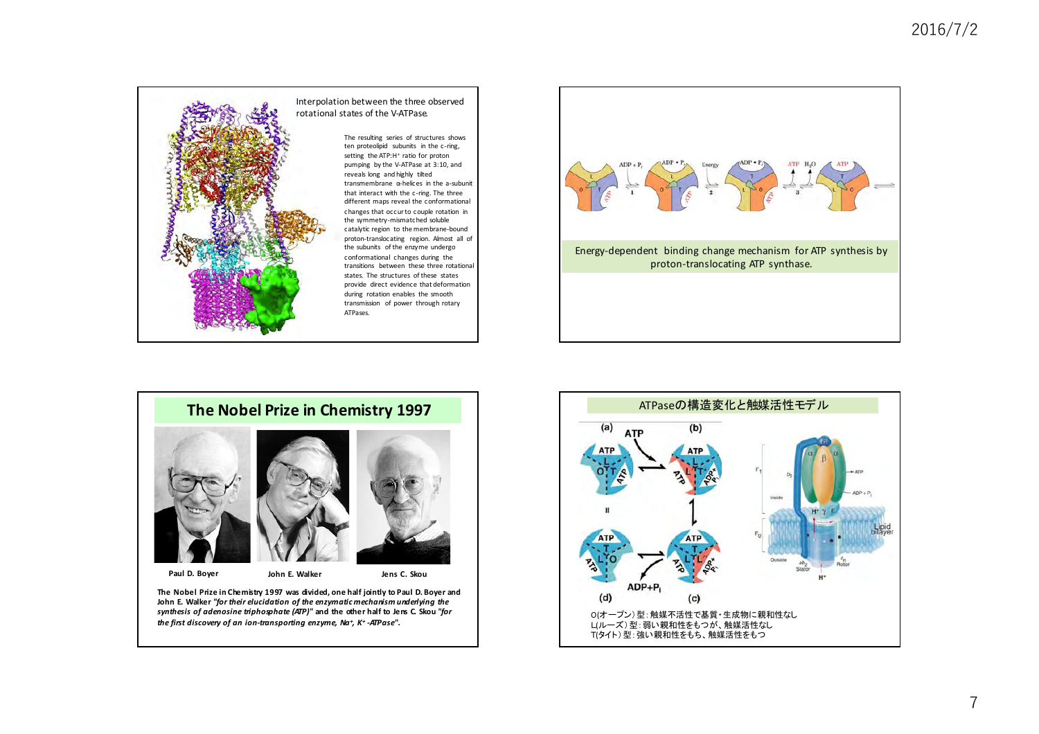

## Interpolation between the three observed rotational states of the V-ATPase.

The resulting series of structures shows ten proteolipid subunits in the c-ring, setting the ATP: H<sup>+</sup> ratio for proton pumping by the V-ATPase at 3:10, and reveals long and highly tilted transmembrane α-helices in the a-subunit that interact with the c-ring. The three different maps reveal the conformational changes that occur to couple rotation in the symmetry-mismatched soluble catalytic region to the membrane-bound proton-translocating region. Almost all of the subunits of the enzyme undergo conformational changes during the transitions between these three rotational states. The structures of these states provide direct evidence that deformation during rotation enables the smooth transmission of power through rotary